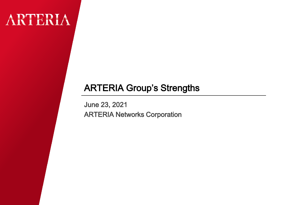# ARTERIA

### ARTERIA Group's Strengths

June 23, 2021 ARTERIA Networks Corporation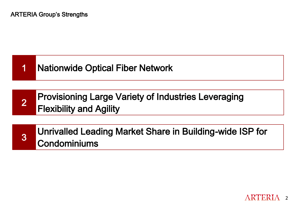## 1 Nationwide Optical Fiber Network

2 Provisioning Large Variety of Industries Leveraging Flexibility and Agility

3

Unrivalled Leading Market Share in Building-wide ISP for **Condominiums**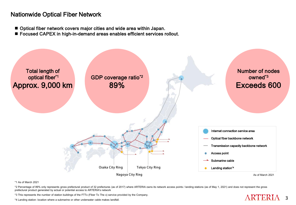#### Nationwide Optical Fiber Network

- Optical fiber network covers major cities and wide area within Japan.
- Focused CAPEX in high-in-demand areas enables efficient services rollout.



\*1 As of March 2021

\*2 Percentage of 89% only represents gross prefectural product of 32 prefectures (as of 2017) where ARTERIA owns its network access points / landing stations (as of May 1, 2021) and does not represent the gross prefectural product generated by actual or potential access to ARTERIA's network

**ARTERIA** 3

\*3 This represents the number of station buildings of the FTTx (Fiber To The x) service provided by the Company.

\*4 Landing station: location where a submarine or other underwater cable makes landfall.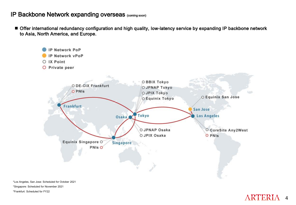#### IP Backbone Network expanding overseas (coming soon)

■ Offer international redundancy configuration and high quality, low-latency service by expanding IP backbone network to Asia, North America, and Europe.



\*Los Angeles, San Jose: Scheduled for October 2021 \*Singapore: Scheduled for November 2021 \*Frankfurt: Scheduled for FY22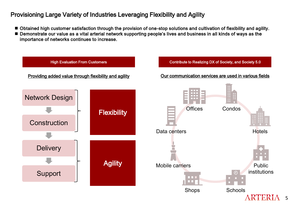#### Provisioning Large Variety of Industries Leveraging Flexibility and Agility

- Obtained high customer satisfaction through the provision of one-stop solutions and cultivation of flexibility and agility.
- Demonstrate our value as a vital arterial network supporting people's lives and business in all kinds of ways as the importance of networks continues to increase.

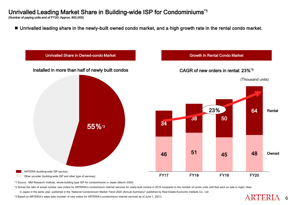#### Unrivalled Leading Market Share in Building-wide ISP for Condominiums\*1

(Number of paying units end of FY20: Approx. 800,000)

■ Unrivalled leading share in the newly-built owned condo market, and a high growth rate in the rental condo market.



\*1 Source : MM Research Institute, whole-building type ISP for condominiums in Japan (March 2020)

\*2 Shows the ratio of actual number new orders for ARTERIA's condominium internet services for newly-built condos in 2019 compared to the number of condo units sold that went on sale in major cities

in Japan in the same year, published in the "National Condominium Market Trend 2020 (Annual Summary)" published by Real Estate Economic Institute Co., Ltd.

\*3 Based on ARTERIA's sales data (number of new orders for ARTERIA's condominium internet services as of June 1, 2021).